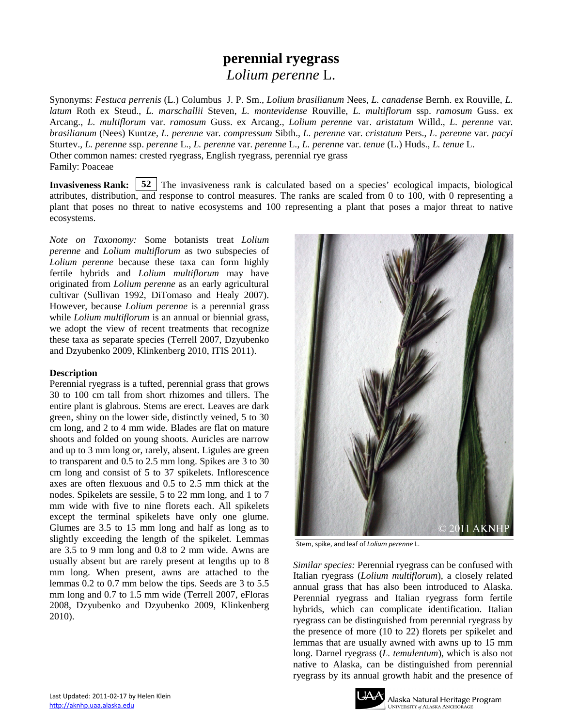# **perennial ryegrass** *Lolium perenne* L.

Synonyms: *Festuca perrenis* (L.) Columbus J. P. Sm., *Lolium brasilianum* Nees, *L. canadense* Bernh. ex Rouville, *L. latum* Roth ex Steud., *L. marschallii* Steven, *L. montevidense* Rouville, *L. multiflorum* ssp. *ramosum* Guss. ex Arcang., *L. multiflorum* var. *ramosum* Guss. ex Arcang., *Lolium perenne* var. *aristatum* Willd., *L. perenne* var. *brasilianum* (Nees) Kuntze, *L. perenne* var. *compressum* Sibth., *L. perenne* var. *cristatum* Pers., *L. perenne* var. *pacyi* Sturtev., *L. perenne* ssp. *perenne* L., *L. perenne* var. *perenne* L., *L. perenne* var. *tenue* (L.) Huds., *L. tenue* L. Other common names: crested ryegrass, English ryegrass, perennial rye grass Family: Poaceae

**Invasiveness Rank:** 52 The invasiveness rank is calculated based on a species' ecological impacts, biological attributes, distribution, and response to control measures. The ranks are scaled from 0 to 100, with 0 representing a plant that poses no threat to native ecosystems and 100 representing a plant that poses a major threat to native ecosystems.

*Note on Taxonomy:* Some botanists treat *Lolium perenne* and *Lolium multiflorum* as two subspecies of *Lolium perenne* because these taxa can form highly fertile hybrids and *Lolium multiflorum* may have originated from *Lolium perenne* as an early agricultural cultivar (Sullivan 1992, DiTomaso and Healy 2007). However, because *Lolium perenne* is a perennial grass while *Lolium multiflorum* is an annual or biennial grass, we adopt the view of recent treatments that recognize these taxa as separate species (Terrell 2007, Dzyubenko and Dzyubenko 2009, Klinkenberg 2010, ITIS 2011).

## **Description**

Perennial ryegrass is a tufted, perennial grass that grows 30 to 100 cm tall from short rhizomes and tillers. The entire plant is glabrous. Stems are erect. Leaves are dark green, shiny on the lower side, distinctly veined, 5 to 30 cm long, and 2 to 4 mm wide. Blades are flat on mature shoots and folded on young shoots. Auricles are narrow and up to 3 mm long or, rarely, absent. Ligules are green to transparent and 0.5 to 2.5 mm long. Spikes are 3 to 30 cm long and consist of 5 to 37 spikelets. Inflorescence axes are often flexuous and 0.5 to 2.5 mm thick at the nodes. Spikelets are sessile, 5 to 22 mm long, and 1 to 7 mm wide with five to nine florets each. All spikelets except the terminal spikelets have only one glume. Glumes are 3.5 to 15 mm long and half as long as to slightly exceeding the length of the spikelet. Lemmas are 3.5 to 9 mm long and 0.8 to 2 mm wide. Awns are usually absent but are rarely present at lengths up to 8 mm long. When present, awns are attached to the lemmas 0.2 to 0.7 mm below the tips. Seeds are 3 to 5.5 mm long and 0.7 to 1.5 mm wide (Terrell 2007, eFloras 2008, Dzyubenko and Dzyubenko 2009, Klinkenberg 2010).



Stem, spike, and leaf of *Lolium perenne* L.

*Similar species:* Perennial ryegrass can be confused with Italian ryegrass (*Lolium multiflorum*), a closely related annual grass that has also been introduced to Alaska. Perennial ryegrass and Italian ryegrass form fertile hybrids, which can complicate identification. Italian ryegrass can be distinguished from perennial ryegrass by the presence of more (10 to 22) florets per spikelet and lemmas that are usually awned with awns up to 15 mm long. Darnel ryegrass (*L. temulentum*), which is also not native to Alaska, can be distinguished from perennial ryegrass by its annual growth habit and the presence of

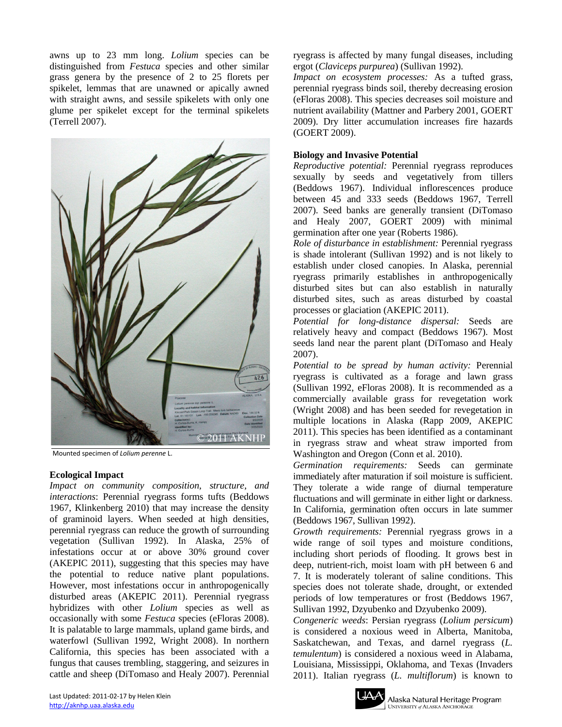awns up to 23 mm long. *Lolium* species can be distinguished from *Festuca* species and other similar grass genera by the presence of 2 to 25 florets per spikelet, lemmas that are unawned or apically awned with straight awns, and sessile spikelets with only one glume per spikelet except for the terminal spikelets (Terrell 2007).



Mounted specimen of *Lolium perenne* L.

#### **Ecological Impact**

*Impact on community composition, structure, and interactions*: Perennial ryegrass forms tufts (Beddows 1967, Klinkenberg 2010) that may increase the density of graminoid layers. When seeded at high densities, perennial ryegrass can reduce the growth of surrounding vegetation (Sullivan 1992). In Alaska, 25% of infestations occur at or above 30% ground cover (AKEPIC 2011), suggesting that this species may have the potential to reduce native plant populations. However, most infestations occur in anthropogenically disturbed areas (AKEPIC 2011). Perennial ryegrass hybridizes with other *Lolium* species as well as occasionally with some *Festuca* species (eFloras 2008). It is palatable to large mammals, upland game birds, and waterfowl (Sullivan 1992, Wright 2008). In northern California, this species has been associated with a fungus that causes trembling, staggering, and seizures in cattle and sheep (DiTomaso and Healy 2007). Perennial

ryegrass is affected by many fungal diseases, including ergot (*Claviceps purpurea*) (Sullivan 1992).

*Impact on ecosystem processes:* As a tufted grass, perennial ryegrass binds soil, thereby decreasing erosion (eFloras 2008). This species decreases soil moisture and nutrient availability (Mattner and Parbery 2001, GOERT 2009). Dry litter accumulation increases fire hazards (GOERT 2009).

#### **Biology and Invasive Potential**

*Reproductive potential:* Perennial ryegrass reproduces sexually by seeds and vegetatively from tillers (Beddows 1967). Individual inflorescences produce between 45 and 333 seeds (Beddows 1967, Terrell 2007). Seed banks are generally transient (DiTomaso and Healy 2007, GOERT 2009) with minimal germination after one year (Roberts 1986).

*Role of disturbance in establishment:* Perennial ryegrass is shade intolerant (Sullivan 1992) and is not likely to establish under closed canopies. In Alaska, perennial ryegrass primarily establishes in anthropogenically disturbed sites but can also establish in naturally disturbed sites, such as areas disturbed by coastal processes or glaciation (AKEPIC 2011).

*Potential for long-distance dispersal:* Seeds are relatively heavy and compact (Beddows 1967). Most seeds land near the parent plant (DiTomaso and Healy 2007).

*Potential to be spread by human activity:* Perennial ryegrass is cultivated as a forage and lawn grass (Sullivan 1992, eFloras 2008). It is recommended as a commercially available grass for revegetation work (Wright 2008) and has been seeded for revegetation in multiple locations in Alaska (Rapp 2009, AKEPIC 2011). This species has been identified as a contaminant in ryegrass straw and wheat straw imported from Washington and Oregon (Conn et al. 2010).

*Germination requirements:* Seeds can germinate immediately after maturation if soil moisture is sufficient. They tolerate a wide range of diurnal temperature fluctuations and will germinate in either light or darkness. In California, germination often occurs in late summer (Beddows 1967, Sullivan 1992).

*Growth requirements:* Perennial ryegrass grows in a wide range of soil types and moisture conditions, including short periods of flooding. It grows best in deep, nutrient-rich, moist loam with pH between 6 and 7. It is moderately tolerant of saline conditions. This species does not tolerate shade, drought, or extended periods of low temperatures or frost (Beddows 1967, Sullivan 1992, Dzyubenko and Dzyubenko 2009).

*Congeneric weeds*: Persian ryegrass (*Lolium persicum*) is considered a noxious weed in Alberta, Manitoba, Saskatchewan, and Texas, and darnel ryegrass (*L. temulentum*) is considered a noxious weed in Alabama, Louisiana, Mississippi, Oklahoma, and Texas (Invaders 2011). Italian ryegrass (*L. multiflorum*) is known to

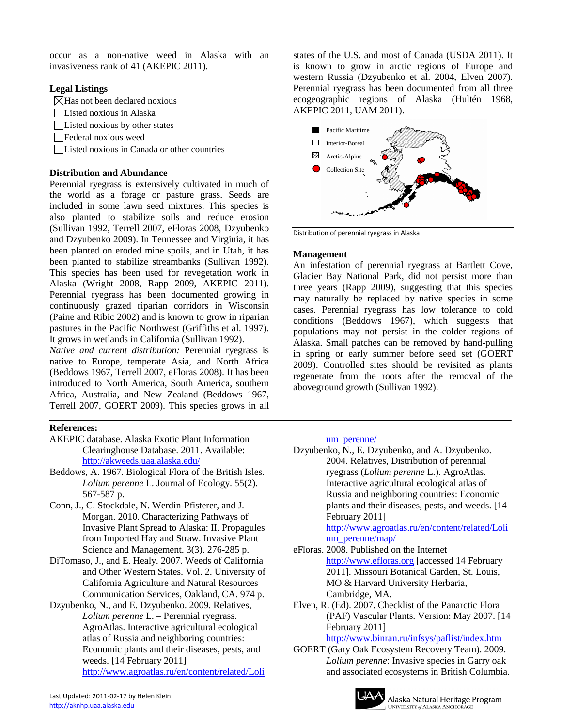occur as a non-native weed in Alaska with an invasiveness rank of 41 (AKEPIC 2011).

## **Legal Listings**

 $\boxtimes$ Has not been declared noxious

Listed noxious in Alaska

Listed noxious by other states

Federal noxious weed

Listed noxious in Canada or other countries

#### **Distribution and Abundance**

Perennial ryegrass is extensively cultivated in much of the world as a forage or pasture grass. Seeds are included in some lawn seed mixtures. This species is also planted to stabilize soils and reduce erosion (Sullivan 1992, Terrell 2007, eFloras 2008, Dzyubenko and Dzyubenko 2009). In Tennessee and Virginia, it has been planted on eroded mine spoils, and in Utah, it has been planted to stabilize streambanks (Sullivan 1992). This species has been used for revegetation work in Alaska (Wright 2008, Rapp 2009, AKEPIC 2011). Perennial ryegrass has been documented growing in continuously grazed riparian corridors in Wisconsin (Paine and Ribic 2002) and is known to grow in riparian pastures in the Pacific Northwest (Griffiths et al. 1997). It grows in wetlands in California (Sullivan 1992).

*Native and current distribution:* Perennial ryegrass is native to Europe, temperate Asia, and North Africa (Beddows 1967, Terrell 2007, eFloras 2008). It has been introduced to North America, South America, southern Africa, Australia, and New Zealand (Beddows 1967, Terrell 2007, GOERT 2009). This species grows in all

## **References:**

- AKEPIC database. Alaska Exotic Plant Information Clearinghouse Database. 2011. Available: <http://akweeds.uaa.alaska.edu/>
- Beddows, A. 1967. Biological Flora of the British Isles. *Lolium perenne* L. Journal of Ecology. 55(2). 567-587 p.
- Conn, J., C. Stockdale, N. Werdin-Pfisterer, and J. Morgan. 2010. Characterizing Pathways of Invasive Plant Spread to Alaska: II. Propagules from Imported Hay and Straw. Invasive Plant Science and Management. 3(3). 276-285 p.
- DiTomaso, J., and E. Healy. 2007. Weeds of California and Other Western States. Vol. 2. University of California Agriculture and Natural Resources Communication Services, Oakland, CA. 974 p.

Dzyubenko, N., and E. Dzyubenko. 2009. Relatives, *Lolium perenne* L. – Perennial ryegrass. AgroAtlas. Interactive agricultural ecological atlas of Russia and neighboring countries: Economic plants and their diseases, pests, and weeds. [14 February 2011] [http://www.agroatlas.ru/en/content/related/Loli](http://www.agroatlas.ru/en/content/related/Lolium_perenne/)

states of the U.S. and most of Canada (USDA 2011). It is known to grow in arctic regions of Europe and western Russia (Dzyubenko et al. 2004, Elven 2007). Perennial ryegrass has been documented from all three ecogeographic regions of Alaska (Hultén 1968, AKEPIC 2011, UAM 2011).



Distribution of perennial ryegrass in Alaska

#### **Management**

An infestation of perennial ryegrass at Bartlett Cove, Glacier Bay National Park, did not persist more than three years (Rapp 2009), suggesting that this species may naturally be replaced by native species in some cases. Perennial ryegrass has low tolerance to cold conditions (Beddows 1967), which suggests that populations may not persist in the colder regions of Alaska. Small patches can be removed by hand-pulling in spring or early summer before seed set (GOERT 2009). Controlled sites should be revisited as plants regenerate from the roots after the removal of the aboveground growth (Sullivan 1992).

um perenne/

Dzyubenko, N., E. Dzyubenko, and A. Dzyubenko. 2004. Relatives, Distribution of perennial ryegrass (*Lolium perenne* L.). AgroAtlas. Interactive agricultural ecological atlas of Russia and neighboring countries: Economic plants and their diseases, pests, and weeds. [14 February 2011] [http://www.agroatlas.ru/en/content/related/Loli](http://www.agroatlas.ru/en/content/related/Lolium_perenne/map/) [um\\_perenne/map/](http://www.agroatlas.ru/en/content/related/Lolium_perenne/map/) eFloras. 2008. Published on the Internet [http://www.efloras.org](http://www.efloras.org/) [accessed 14 February 2011]. Missouri Botanical Garden, St. Louis, MO & Harvard University Herbaria, Cambridge, MA. Elven, R. (Ed). 2007. Checklist of the Panarctic Flora (PAF) Vascular Plants. Version: May 2007. [14 February 2011] <http://www.binran.ru/infsys/paflist/index.htm> GOERT (Gary Oak Ecosystem Recovery Team). 2009. *Lolium perenne*: Invasive species in Garry oak and associated ecosystems in British Columbia.